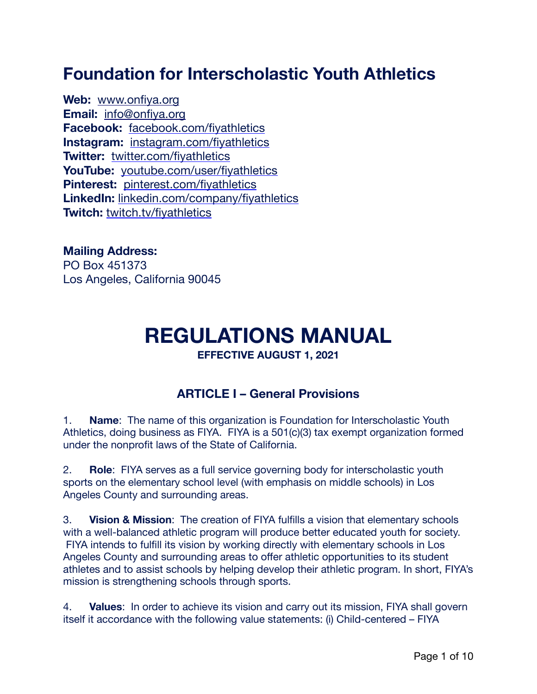# **Foundation for Interscholastic Youth Athletics**

**Web:** [www.onfiya.org](http://www.onfiya.org/) **Email:** [info@onfiya.org](mailto:info@onfiya.org) **Facebook:** [facebook.com/fiyathletics](http://www.facebook.com/fiyathletics) **Instagram:** [instagram.com/fiyathletics](https://www.instagram.com/fiyathletics/) **Twitter:** [twitter.com/fiyathletics](https://twitter.com/fiyathletics) **YouTube:** [youtube.com/user/fiyathletics](https://www.youtube.com/user/FIYAthletics) **Pinterest:** [pinterest.com/fiyathletics](https://pinterest.com/fiyathletics) **LinkedIn:** [linkedin.com/company/fiyathletics](https://www.linkedin.com/company/fiyathletics) **Twitch:** [twitch.tv/fiyathletics](https://www.twitch.tv/fiyathletics)

**Mailing Address:** PO Box 451373 Los Angeles, California 90045

# **REGULATIONS MANUAL**

**EFFECTIVE AUGUST 1, 2021** 

### **ARTICLE I – General Provisions**

1. **Name**: The name of this organization is Foundation for Interscholastic Youth Athletics, doing business as FIYA. FIYA is a 501(c)(3) tax exempt organization formed under the nonprofit laws of the State of California.

2. **Role**: FIYA serves as a full service governing body for interscholastic youth sports on the elementary school level (with emphasis on middle schools) in Los Angeles County and surrounding areas.

3. **Vision & Mission**: The creation of FIYA fulfills a vision that elementary schools with a well-balanced athletic program will produce better educated youth for society. FIYA intends to fulfill its vision by working directly with elementary schools in Los Angeles County and surrounding areas to offer athletic opportunities to its student athletes and to assist schools by helping develop their athletic program. In short, FIYA's mission is strengthening schools through sports.

4. **Values**: In order to achieve its vision and carry out its mission, FIYA shall govern itself it accordance with the following value statements: (i) Child-centered – FIYA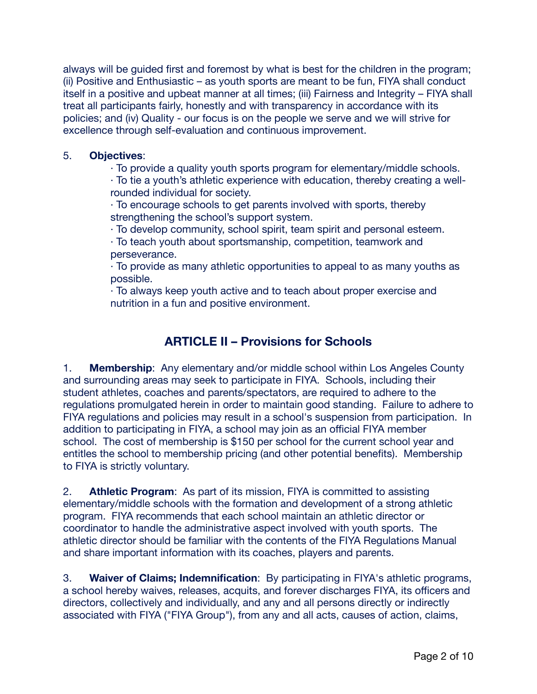always will be guided first and foremost by what is best for the children in the program; (ii) Positive and Enthusiastic – as youth sports are meant to be fun, FIYA shall conduct itself in a positive and upbeat manner at all times; (iii) Fairness and Integrity – FIYA shall treat all participants fairly, honestly and with transparency in accordance with its policies; and (iv) Quality - our focus is on the people we serve and we will strive for excellence through self-evaluation and continuous improvement.

#### 5. **Objectives**:

· To provide a quality youth sports program for elementary/middle schools.

· To tie a youth's athletic experience with education, thereby creating a wellrounded individual for society.

· To encourage schools to get parents involved with sports, thereby strengthening the school's support system.

· To develop community, school spirit, team spirit and personal esteem.

· To teach youth about sportsmanship, competition, teamwork and perseverance.

· To provide as many athletic opportunities to appeal to as many youths as possible.

· To always keep youth active and to teach about proper exercise and nutrition in a fun and positive environment.

## **ARTICLE II – Provisions for Schools**

1. **Membership**: Any elementary and/or middle school within Los Angeles County and surrounding areas may seek to participate in FIYA. Schools, including their student athletes, coaches and parents/spectators, are required to adhere to the regulations promulgated herein in order to maintain good standing. Failure to adhere to FIYA regulations and policies may result in a school's suspension from participation. In addition to participating in FIYA, a school may join as an official FIYA member school. The cost of membership is \$150 per school for the current school year and entitles the school to membership pricing (and other potential benefits). Membership to FIYA is strictly voluntary.

2. **Athletic Program**: As part of its mission, FIYA is committed to assisting elementary/middle schools with the formation and development of a strong athletic program. FIYA recommends that each school maintain an athletic director or coordinator to handle the administrative aspect involved with youth sports. The athletic director should be familiar with the contents of the FIYA Regulations Manual and share important information with its coaches, players and parents.

3. **Waiver of Claims; Indemnification**: By participating in FIYA's athletic programs, a school hereby waives, releases, acquits, and forever discharges FIYA, its officers and directors, collectively and individually, and any and all persons directly or indirectly associated with FIYA ("FIYA Group"), from any and all acts, causes of action, claims,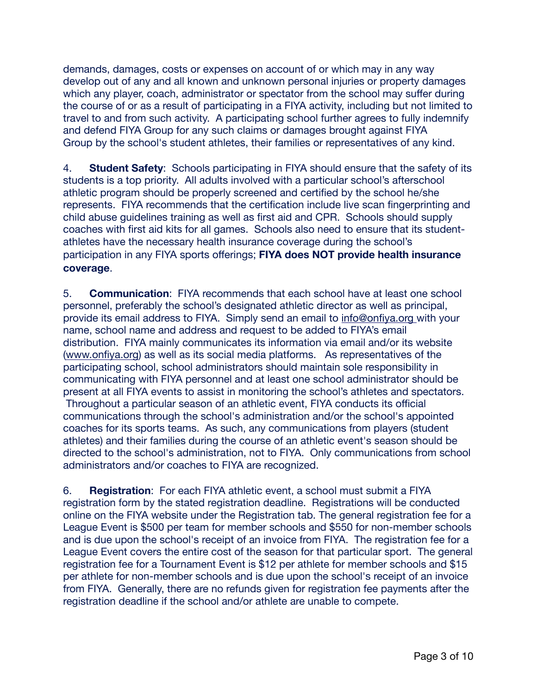demands, damages, costs or expenses on account of or which may in any way develop out of any and all known and unknown personal injuries or property damages which any player, coach, administrator or spectator from the school may suffer during the course of or as a result of participating in a FIYA activity, including but not limited to travel to and from such activity. A participating school further agrees to fully indemnify and defend FIYA Group for any such claims or damages brought against FIYA Group by the school's student athletes, their families or representatives of any kind.

4. **Student Safety**: Schools participating in FIYA should ensure that the safety of its students is a top priority. All adults involved with a particular school's afterschool athletic program should be properly screened and certified by the school he/she represents. FIYA recommends that the certification include live scan fingerprinting and child abuse guidelines training as well as first aid and CPR. Schools should supply coaches with first aid kits for all games. Schools also need to ensure that its studentathletes have the necessary health insurance coverage during the school's participation in any FIYA sports offerings; **FIYA does NOT provide health insurance coverage**.

5. **Communication**: FIYA recommends that each school have at least one school personnel, preferably the school's designated athletic director as well as principal, provide its email address to FIYA. Simply send an email to [info@onfiya.org](mailto:info@onfiya.org) with your name, school name and address and request to be added to FIYA's email distribution. FIYA mainly communicates its information via email and/or its website [\(www.onfiya.org](http://www.onfiya.org/)) as well as its social media platforms. As representatives of the participating school, school administrators should maintain sole responsibility in communicating with FIYA personnel and at least one school administrator should be present at all FIYA events to assist in monitoring the school's athletes and spectators. Throughout a particular season of an athletic event, FIYA conducts its official communications through the school's administration and/or the school's appointed coaches for its sports teams. As such, any communications from players (student athletes) and their families during the course of an athletic event's season should be directed to the school's administration, not to FIYA. Only communications from school administrators and/or coaches to FIYA are recognized.

6. **Registration**: For each FIYA athletic event, a school must submit a FIYA registration form by the stated registration deadline. Registrations will be conducted online on the FIYA website under the Registration tab. The general registration fee for a League Event is \$500 per team for member schools and \$550 for non-member schools and is due upon the school's receipt of an invoice from FIYA. The registration fee for a League Event covers the entire cost of the season for that particular sport. The general registration fee for a Tournament Event is \$12 per athlete for member schools and \$15 per athlete for non-member schools and is due upon the school's receipt of an invoice from FIYA. Generally, there are no refunds given for registration fee payments after the registration deadline if the school and/or athlete are unable to compete.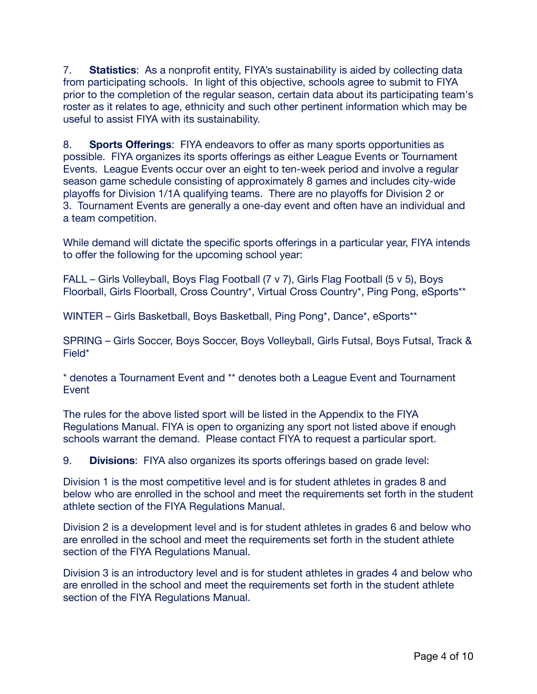7. **Statistics**: As a nonprofit entity, FIYA's sustainability is aided by collecting data from participating schools. In light of this objective, schools agree to submit to FIYA prior to the completion of the regular season, certain data about its participating team's roster as it relates to age, ethnicity and such other pertinent information which may be useful to assist FIYA with its sustainability.

8. **Sports Offerings**: FIYA endeavors to offer as many sports opportunities as possible. FIYA organizes its sports offerings as either League Events or Tournament Events. League Events occur over an eight to ten-week period and involve a regular season game schedule consisting of approximately 8 games and includes city-wide playoffs for Division 1/1A qualifying teams. There are no playoffs for Division 2 or 3. Tournament Events are generally a one-day event and often have an individual and a team competition.

While demand will dictate the specific sports offerings in a particular year, FIYA intends to offer the following for the upcoming school year:

FALL – Girls Volleyball, Boys Flag Football (7 v 7), Girls Flag Football (5 v 5), Boys Floorball, Girls Floorball, Cross Country\*, Virtual Cross Country\*, Ping Pong, eSports\*\*

WINTER – Girls Basketball, Boys Basketball, Ping Pong\*, Dance\*, eSports\*\*

SPRING – Girls Soccer, Boys Soccer, Boys Volleyball, Girls Futsal, Boys Futsal, Track & Field\*

\* denotes a Tournament Event and \*\* denotes both a League Event and Tournament Event

The rules for the above listed sport will be listed in the Appendix to the FIYA Regulations Manual. FIYA is open to organizing any sport not listed above if enough schools warrant the demand. Please contact FIYA to request a particular sport.

9. **Divisions**: FIYA also organizes its sports offerings based on grade level:

Division 1 is the most competitive level and is for student athletes in grades 8 and below who are enrolled in the school and meet the requirements set forth in the student athlete section of the FIYA Regulations Manual.

Division 2 is a development level and is for student athletes in grades 6 and below who are enrolled in the school and meet the requirements set forth in the student athlete section of the FIYA Regulations Manual.

Division 3 is an introductory level and is for student athletes in grades 4 and below who are enrolled in the school and meet the requirements set forth in the student athlete section of the FIYA Regulations Manual.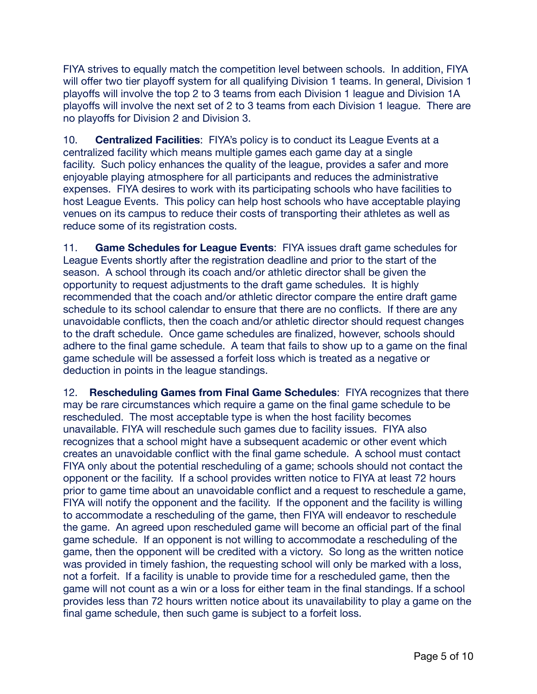FIYA strives to equally match the competition level between schools. In addition, FIYA will offer two tier playoff system for all qualifying Division 1 teams. In general, Division 1 playoffs will involve the top 2 to 3 teams from each Division 1 league and Division 1A playoffs will involve the next set of 2 to 3 teams from each Division 1 league. There are no playoffs for Division 2 and Division 3.

10. **Centralized Facilities**: FIYA's policy is to conduct its League Events at a centralized facility which means multiple games each game day at a single facility. Such policy enhances the quality of the league, provides a safer and more enjoyable playing atmosphere for all participants and reduces the administrative expenses. FIYA desires to work with its participating schools who have facilities to host League Events. This policy can help host schools who have acceptable playing venues on its campus to reduce their costs of transporting their athletes as well as reduce some of its registration costs.

11. **Game Schedules for League Events**: FIYA issues draft game schedules for League Events shortly after the registration deadline and prior to the start of the season. A school through its coach and/or athletic director shall be given the opportunity to request adjustments to the draft game schedules. It is highly recommended that the coach and/or athletic director compare the entire draft game schedule to its school calendar to ensure that there are no conflicts. If there are any unavoidable conflicts, then the coach and/or athletic director should request changes to the draft schedule. Once game schedules are finalized, however, schools should adhere to the final game schedule. A team that fails to show up to a game on the final game schedule will be assessed a forfeit loss which is treated as a negative or deduction in points in the league standings.

12. **Rescheduling Games from Final Game Schedules**: FIYA recognizes that there may be rare circumstances which require a game on the final game schedule to be rescheduled. The most acceptable type is when the host facility becomes unavailable. FIYA will reschedule such games due to facility issues. FIYA also recognizes that a school might have a subsequent academic or other event which creates an unavoidable conflict with the final game schedule. A school must contact FIYA only about the potential rescheduling of a game; schools should not contact the opponent or the facility. If a school provides written notice to FIYA at least 72 hours prior to game time about an unavoidable conflict and a request to reschedule a game, FIYA will notify the opponent and the facility. If the opponent and the facility is willing to accommodate a rescheduling of the game, then FIYA will endeavor to reschedule the game. An agreed upon rescheduled game will become an official part of the final game schedule. If an opponent is not willing to accommodate a rescheduling of the game, then the opponent will be credited with a victory. So long as the written notice was provided in timely fashion, the requesting school will only be marked with a loss, not a forfeit. If a facility is unable to provide time for a rescheduled game, then the game will not count as a win or a loss for either team in the final standings. If a school provides less than 72 hours written notice about its unavailability to play a game on the final game schedule, then such game is subject to a forfeit loss.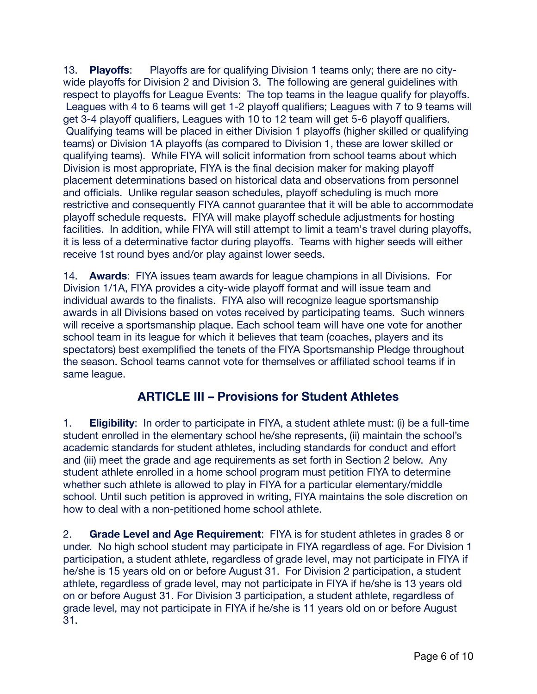13. **Playoffs**: Playoffs are for qualifying Division 1 teams only; there are no citywide playoffs for Division 2 and Division 3. The following are general guidelines with respect to playoffs for League Events: The top teams in the league qualify for playoffs. Leagues with 4 to 6 teams will get 1-2 playoff qualifiers; Leagues with 7 to 9 teams will get 3-4 playoff qualifiers, Leagues with 10 to 12 team will get 5-6 playoff qualifiers. Qualifying teams will be placed in either Division 1 playoffs (higher skilled or qualifying teams) or Division 1A playoffs (as compared to Division 1, these are lower skilled or qualifying teams). While FIYA will solicit information from school teams about which Division is most appropriate, FIYA is the final decision maker for making playoff placement determinations based on historical data and observations from personnel and officials. Unlike regular season schedules, playoff scheduling is much more restrictive and consequently FIYA cannot guarantee that it will be able to accommodate playoff schedule requests. FIYA will make playoff schedule adjustments for hosting facilities. In addition, while FIYA will still attempt to limit a team's travel during playoffs, it is less of a determinative factor during playoffs. Teams with higher seeds will either receive 1st round byes and/or play against lower seeds.

14. **Awards**: FIYA issues team awards for league champions in all Divisions. For Division 1/1A, FIYA provides a city-wide playoff format and will issue team and individual awards to the finalists. FIYA also will recognize league sportsmanship awards in all Divisions based on votes received by participating teams. Such winners will receive a sportsmanship plaque. Each school team will have one vote for another school team in its league for which it believes that team (coaches, players and its spectators) best exemplified the tenets of the FIYA Sportsmanship Pledge throughout the season. School teams cannot vote for themselves or affiliated school teams if in same league.

### **ARTICLE III – Provisions for Student Athletes**

1. **Eligibility**: In order to participate in FIYA, a student athlete must: (i) be a full-time student enrolled in the elementary school he/she represents, (ii) maintain the school's academic standards for student athletes, including standards for conduct and effort and (iii) meet the grade and age requirements as set forth in Section 2 below. Any student athlete enrolled in a home school program must petition FIYA to determine whether such athlete is allowed to play in FIYA for a particular elementary/middle school. Until such petition is approved in writing, FIYA maintains the sole discretion on how to deal with a non-petitioned home school athlete.

2. **Grade Level and Age Requirement**: FIYA is for student athletes in grades 8 or under. No high school student may participate in FIYA regardless of age. For Division 1 participation, a student athlete, regardless of grade level, may not participate in FIYA if he/she is 15 years old on or before August 31. For Division 2 participation, a student athlete, regardless of grade level, may not participate in FIYA if he/she is 13 years old on or before August 31. For Division 3 participation, a student athlete, regardless of grade level, may not participate in FIYA if he/she is 11 years old on or before August 31.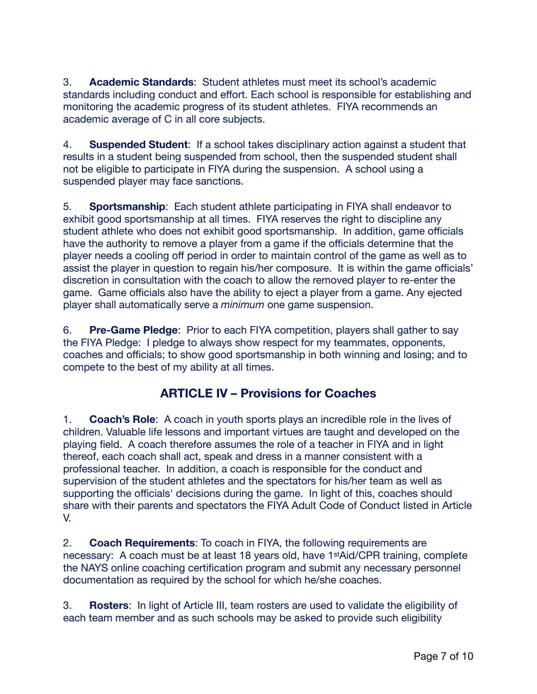3. **Academic Standards**: Student athletes must meet its school's academic standards including conduct and effort. Each school is responsible for establishing and monitoring the academic progress of its student athletes. FIYA recommends an academic average of C in all core subjects.

4. **Suspended Student**: If a school takes disciplinary action against a student that results in a student being suspended from school, then the suspended student shall not be eligible to participate in FIYA during the suspension. A school using a suspended player may face sanctions.

5. **Sportsmanship**: Each student athlete participating in FIYA shall endeavor to exhibit good sportsmanship at all times. FIYA reserves the right to discipline any student athlete who does not exhibit good sportsmanship. In addition, game officials have the authority to remove a player from a game if the officials determine that the player needs a cooling off period in order to maintain control of the game as well as to assist the player in question to regain his/her composure. It is within the game officials' discretion in consultation with the coach to allow the removed player to re-enter the game. Game officials also have the ability to eject a player from a game. Any ejected player shall automatically serve a *minimum* one game suspension.

6. **Pre-Game Pledge**: Prior to each FIYA competition, players shall gather to say the FIYA Pledge: I pledge to always show respect for my teammates, opponents, coaches and officials; to show good sportsmanship in both winning and losing; and to compete to the best of my ability at all times.

### **ARTICLE IV – Provisions for Coaches**

1. **Coach's Role**: A coach in youth sports plays an incredible role in the lives of children. Valuable life lessons and important virtues are taught and developed on the playing field. A coach therefore assumes the role of a teacher in FIYA and in light thereof, each coach shall act, speak and dress in a manner consistent with a professional teacher. In addition, a coach is responsible for the conduct and supervision of the student athletes and the spectators for his/her team as well as supporting the officials' decisions during the game. In light of this, coaches should share with their parents and spectators the FIYA Adult Code of Conduct listed in Article V.

2. **Coach Requirements**: To coach in FIYA, the following requirements are necessary: A coach must be at least 18 years old, have 1stAid/CPR training, complete the NAYS online coaching certification program and submit any necessary personnel documentation as required by the school for which he/she coaches.

3. **Rosters**: In light of Article III, team rosters are used to validate the eligibility of each team member and as such schools may be asked to provide such eligibility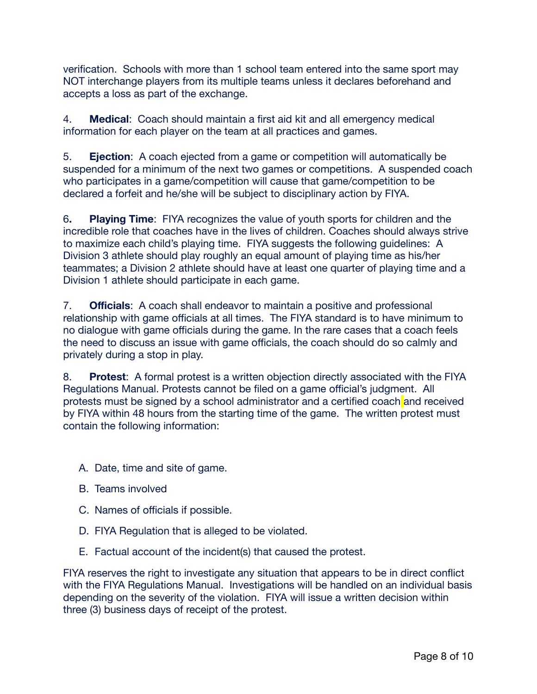verification. Schools with more than 1 school team entered into the same sport may NOT interchange players from its multiple teams unless it declares beforehand and accepts a loss as part of the exchange.

4. **Medical**: Coach should maintain a first aid kit and all emergency medical information for each player on the team at all practices and games.

5. **Ejection**: A coach ejected from a game or competition will automatically be suspended for a minimum of the next two games or competitions. A suspended coach who participates in a game/competition will cause that game/competition to be declared a forfeit and he/she will be subject to disciplinary action by FIYA.

6**. Playing Time**: FIYA recognizes the value of youth sports for children and the incredible role that coaches have in the lives of children. Coaches should always strive to maximize each child's playing time. FIYA suggests the following guidelines: A Division 3 athlete should play roughly an equal amount of playing time as his/her teammates; a Division 2 athlete should have at least one quarter of playing time and a Division 1 athlete should participate in each game.

7. **Officials**: A coach shall endeavor to maintain a positive and professional relationship with game officials at all times. The FIYA standard is to have minimum to no dialogue with game officials during the game. In the rare cases that a coach feels the need to discuss an issue with game officials, the coach should do so calmly and privately during a stop in play.

8. **Protest**: A formal protest is a written objection directly associated with the FIYA Regulations Manual. Protests cannot be filed on a game official's judgment. All protests must be signed by a school administrator and a certified coach and received by FIYA within 48 hours from the starting time of the game. The written protest must contain the following information:

- A. Date, time and site of game.
- B. Teams involved
- C. Names of officials if possible.
- D. FIYA Regulation that is alleged to be violated.
- E. Factual account of the incident(s) that caused the protest.

FIYA reserves the right to investigate any situation that appears to be in direct conflict with the FIYA Regulations Manual. Investigations will be handled on an individual basis depending on the severity of the violation. FIYA will issue a written decision within three (3) business days of receipt of the protest.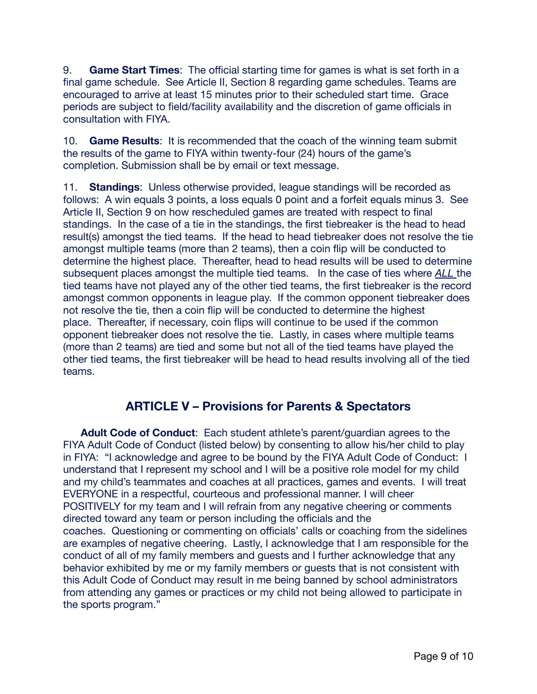9. **Game Start Times**: The official starting time for games is what is set forth in a final game schedule. See Article II, Section 8 regarding game schedules. Teams are encouraged to arrive at least 15 minutes prior to their scheduled start time. Grace periods are subject to field/facility availability and the discretion of game officials in consultation with FIYA.

10. **Game Results**: It is recommended that the coach of the winning team submit the results of the game to FIYA within twenty-four (24) hours of the game's completion. Submission shall be by email or text message.

11. **Standings**: Unless otherwise provided, league standings will be recorded as follows: A win equals 3 points, a loss equals 0 point and a forfeit equals minus 3. See Article II, Section 9 on how rescheduled games are treated with respect to final standings. In the case of a tie in the standings, the first tiebreaker is the head to head result(s) amongst the tied teams. If the head to head tiebreaker does not resolve the tie amongst multiple teams (more than 2 teams), then a coin flip will be conducted to determine the highest place. Thereafter, head to head results will be used to determine subsequent places amongst the multiple tied teams. In the case of ties where *ALL* the tied teams have not played any of the other tied teams, the first tiebreaker is the record amongst common opponents in league play. If the common opponent tiebreaker does not resolve the tie, then a coin flip will be conducted to determine the highest place. Thereafter, if necessary, coin flips will continue to be used if the common opponent tiebreaker does not resolve the tie. Lastly, in cases where multiple teams (more than 2 teams) are tied and some but not all of the tied teams have played the other tied teams, the first tiebreaker will be head to head results involving all of the tied teams.

#### **ARTICLE V – Provisions for Parents & Spectators**

 **Adult Code of Conduct**: Each student athlete's parent/guardian agrees to the FIYA Adult Code of Conduct (listed below) by consenting to allow his/her child to play in FIYA: "I acknowledge and agree to be bound by the FIYA Adult Code of Conduct: I understand that I represent my school and I will be a positive role model for my child and my child's teammates and coaches at all practices, games and events. I will treat EVERYONE in a respectful, courteous and professional manner. I will cheer POSITIVELY for my team and I will refrain from any negative cheering or comments directed toward any team or person including the officials and the coaches. Questioning or commenting on officials' calls or coaching from the sidelines are examples of negative cheering. Lastly, I acknowledge that I am responsible for the conduct of all of my family members and guests and I further acknowledge that any behavior exhibited by me or my family members or guests that is not consistent with this Adult Code of Conduct may result in me being banned by school administrators from attending any games or practices or my child not being allowed to participate in the sports program."